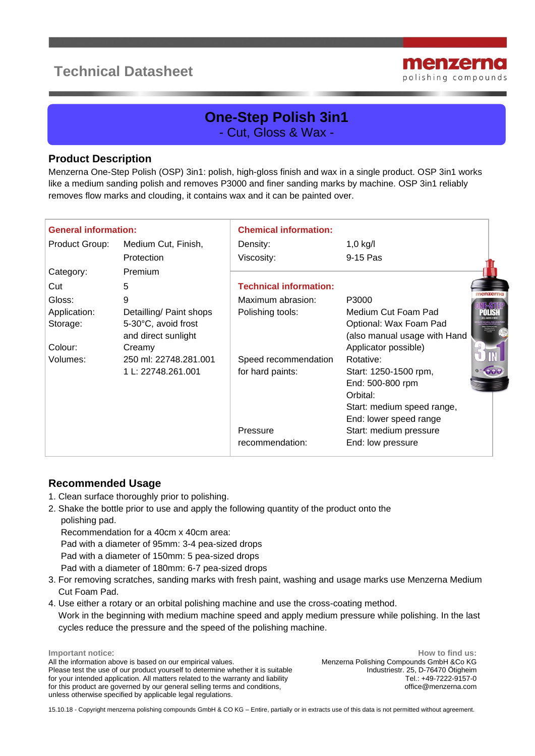# **Technical Datasheet**



## **One-Step Polish 3in1** - Cut, Gloss & Wax -

#### **Product Description**

Menzerna One-Step Polish (OSP) 3in1: polish, high-gloss finish and wax in a single product. OSP 3in1 works like a medium sanding polish and removes P3000 and finer sanding marks by machine. OSP 3in1 reliably removes flow marks and clouding, it contains wax and it can be painted over.

| <b>General information:</b> |                         | <b>Chemical information:</b>  |                              |  |
|-----------------------------|-------------------------|-------------------------------|------------------------------|--|
| Product Group:              | Medium Cut, Finish,     | Density:                      | $1,0$ kg/l                   |  |
|                             | Protection              | Viscosity:                    | 9-15 Pas                     |  |
| Category:                   | Premium                 |                               |                              |  |
| Cut                         | 5                       | <b>Technical information:</b> |                              |  |
| Gloss:                      | 9                       | Maximum abrasion:             | P3000                        |  |
| Application:                | Detailling/ Paint shops | Polishing tools:              | Medium Cut Foam Pad          |  |
| Storage:                    | 5-30°C, avoid frost     |                               | Optional: Wax Foam Pad       |  |
|                             | and direct sunlight     |                               | (also manual usage with Hand |  |
| Colour:                     | Creamy                  |                               | Applicator possible)         |  |
| Volumes:                    | 250 ml: 22748.281.001   | Speed recommendation          | Rotative:                    |  |
|                             | 1 L: 22748.261.001      | for hard paints:              | Start: 1250-1500 rpm,        |  |
|                             |                         |                               | End: 500-800 rpm             |  |
|                             |                         |                               | Orbital:                     |  |
|                             |                         |                               | Start: medium speed range,   |  |
|                             |                         |                               | End: lower speed range       |  |
|                             |                         | Pressure                      | Start: medium pressure       |  |
|                             |                         | recommendation:               | End: low pressure            |  |

### **Recommended Usage**

- 1. Clean surface thoroughly prior to polishing.
- 2. Shake the bottle prior to use and apply the following quantity of the product onto the polishing pad.

Recommendation for a 40cm x 40cm area:

Pad with a diameter of 95mm: 3-4 pea-sized drops

Pad with a diameter of 150mm: 5 pea-sized drops

Pad with a diameter of 180mm: 6-7 pea-sized drops

- 3. For removing scratches, sanding marks with fresh paint, washing and usage marks use Menzerna Medium Cut Foam Pad.
- 4. Use either a rotary or an orbital polishing machine and use the cross-coating method.
- Work in the beginning with medium machine speed and apply medium pressure while polishing. In the last cycles reduce the pressure and the speed of the polishing machine.

**Important notice**: All the information above is based on our empirical values. Please test the use of our product yourself to determine whether it is suitable for your intended application. All matters related to the warranty and liability for this product are governed by our general selling terms and conditions, unless otherwise specified by applicable legal regulations.

**How to find us:** Menzerna Polishing Compounds GmbH &Co KG Industriestr. 25, D-76470 Ötigheim Tel.: +49-7222-9157-0 office@menzerna.com

15.10.18 - Copyright menzerna polishing compounds GmbH & CO KG – Entire, partially or in extracts use of this data is not permitted without agreement.